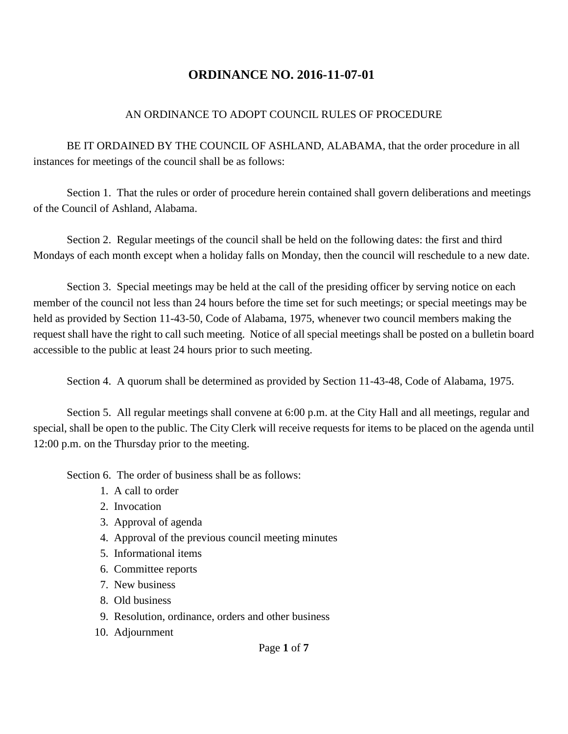#### AN ORDINANCE TO ADOPT COUNCIL RULES OF PROCEDURE

BE IT ORDAINED BY THE COUNCIL OF ASHLAND, ALABAMA, that the order procedure in all instances for meetings of the council shall be as follows:

Section 1. That the rules or order of procedure herein contained shall govern deliberations and meetings of the Council of Ashland, Alabama.

Section 2. Regular meetings of the council shall be held on the following dates: the first and third Mondays of each month except when a holiday falls on Monday, then the council will reschedule to a new date.

Section 3. Special meetings may be held at the call of the presiding officer by serving notice on each member of the council not less than 24 hours before the time set for such meetings; or special meetings may be held as provided by Section 11-43-50, Code of Alabama, 1975, whenever two council members making the request shall have the right to call such meeting. Notice of all special meetings shall be posted on a bulletin board accessible to the public at least 24 hours prior to such meeting.

Section 4. A quorum shall be determined as provided by Section 11-43-48, Code of Alabama, 1975.

Section 5. All regular meetings shall convene at 6:00 p.m. at the City Hall and all meetings, regular and special, shall be open to the public. The City Clerk will receive requests for items to be placed on the agenda until 12:00 p.m. on the Thursday prior to the meeting.

Section 6. The order of business shall be as follows:

- 1. A call to order
- 2. Invocation
- 3. Approval of agenda
- 4. Approval of the previous council meeting minutes
- 5. Informational items
- 6. Committee reports
- 7. New business
- 8. Old business
- 9. Resolution, ordinance, orders and other business
- 10. Adjournment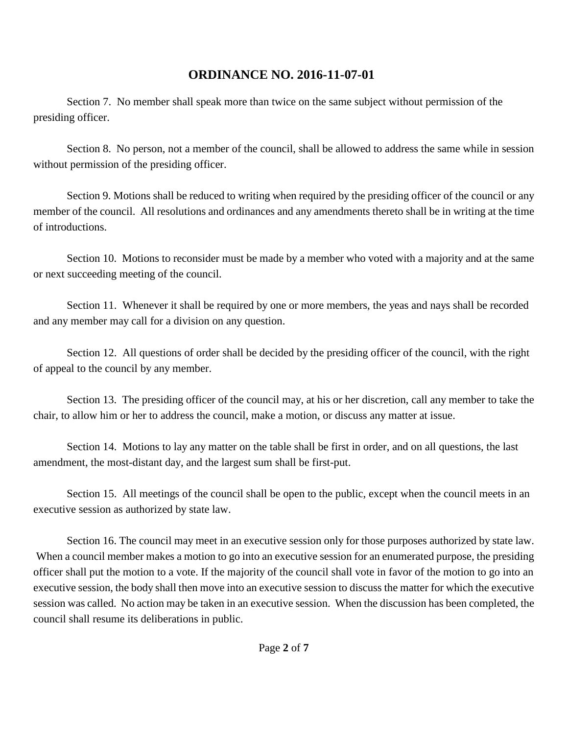Section 7. No member shall speak more than twice on the same subject without permission of the presiding officer.

Section 8. No person, not a member of the council, shall be allowed to address the same while in session without permission of the presiding officer.

Section 9. Motions shall be reduced to writing when required by the presiding officer of the council or any member of the council. All resolutions and ordinances and any amendments thereto shall be in writing at the time of introductions.

Section 10. Motions to reconsider must be made by a member who voted with a majority and at the same or next succeeding meeting of the council.

Section 11. Whenever it shall be required by one or more members, the yeas and nays shall be recorded and any member may call for a division on any question.

Section 12. All questions of order shall be decided by the presiding officer of the council, with the right of appeal to the council by any member.

Section 13. The presiding officer of the council may, at his or her discretion, call any member to take the chair, to allow him or her to address the council, make a motion, or discuss any matter at issue.

Section 14. Motions to lay any matter on the table shall be first in order, and on all questions, the last amendment, the most-distant day, and the largest sum shall be first-put.

Section 15. All meetings of the council shall be open to the public, except when the council meets in an executive session as authorized by state law.

Section 16. The council may meet in an executive session only for those purposes authorized by state law. When a council member makes a motion to go into an executive session for an enumerated purpose, the presiding officer shall put the motion to a vote. If the majority of the council shall vote in favor of the motion to go into an executive session, the body shall then move into an executive session to discuss the matter for which the executive session was called. No action may be taken in an executive session. When the discussion has been completed, the council shall resume its deliberations in public.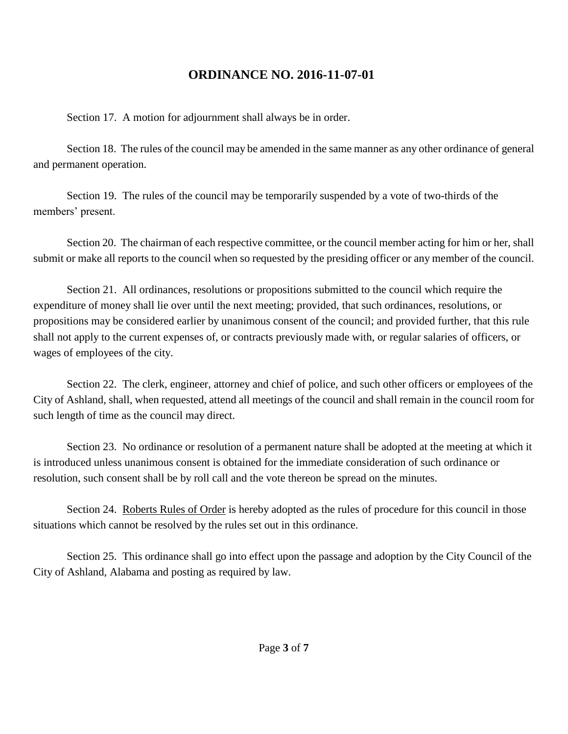Section 17. A motion for adjournment shall always be in order.

Section 18. The rules of the council may be amended in the same manner as any other ordinance of general and permanent operation.

Section 19. The rules of the council may be temporarily suspended by a vote of two-thirds of the members' present.

Section 20. The chairman of each respective committee, or the council member acting for him or her, shall submit or make all reports to the council when so requested by the presiding officer or any member of the council.

Section 21. All ordinances, resolutions or propositions submitted to the council which require the expenditure of money shall lie over until the next meeting; provided, that such ordinances, resolutions, or propositions may be considered earlier by unanimous consent of the council; and provided further, that this rule shall not apply to the current expenses of, or contracts previously made with, or regular salaries of officers, or wages of employees of the city.

Section 22. The clerk, engineer, attorney and chief of police, and such other officers or employees of the City of Ashland, shall, when requested, attend all meetings of the council and shall remain in the council room for such length of time as the council may direct.

Section 23. No ordinance or resolution of a permanent nature shall be adopted at the meeting at which it is introduced unless unanimous consent is obtained for the immediate consideration of such ordinance or resolution, such consent shall be by roll call and the vote thereon be spread on the minutes.

Section 24. Roberts Rules of Order is hereby adopted as the rules of procedure for this council in those situations which cannot be resolved by the rules set out in this ordinance.

Section 25. This ordinance shall go into effect upon the passage and adoption by the City Council of the City of Ashland, Alabama and posting as required by law.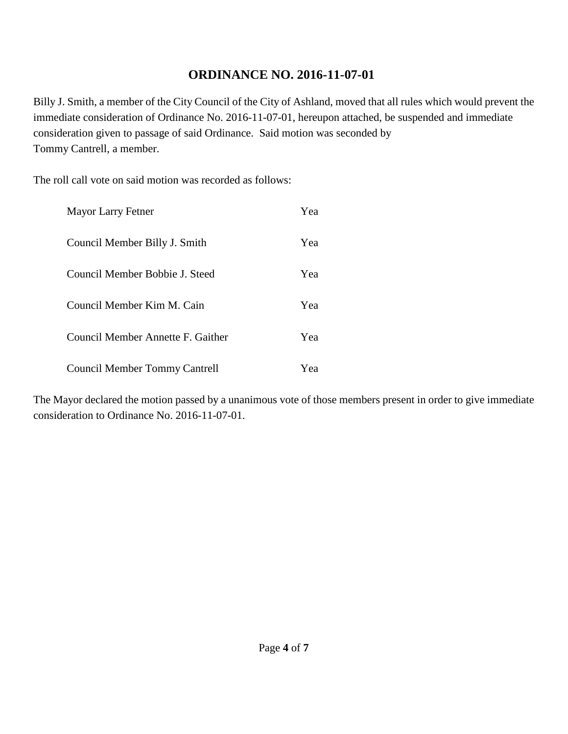Billy J. Smith, a member of the City Council of the City of Ashland, moved that all rules which would prevent the immediate consideration of Ordinance No. 2016-11-07-01, hereupon attached, be suspended and immediate consideration given to passage of said Ordinance. Said motion was seconded by Tommy Cantrell, a member.

The roll call vote on said motion was recorded as follows:

| <b>Mayor Larry Fetner</b>            | Yea |
|--------------------------------------|-----|
| Council Member Billy J. Smith        | Yea |
| Council Member Bobbie J. Steed       | Yea |
| Council Member Kim M. Cain           | Yea |
| Council Member Annette F. Gaither    | Yea |
| <b>Council Member Tommy Cantrell</b> | Yea |

The Mayor declared the motion passed by a unanimous vote of those members present in order to give immediate consideration to Ordinance No. 2016-11-07-01.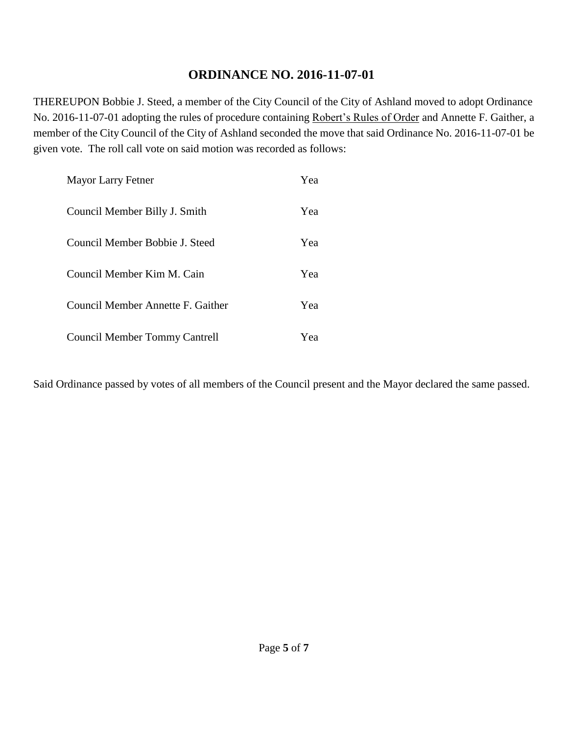THEREUPON Bobbie J. Steed, a member of the City Council of the City of Ashland moved to adopt Ordinance No. 2016-11-07-01 adopting the rules of procedure containing Robert's Rules of Order and Annette F. Gaither, a member of the City Council of the City of Ashland seconded the move that said Ordinance No. 2016-11-07-01 be given vote. The roll call vote on said motion was recorded as follows:

| Mayor Larry Fetner                   | Yea |
|--------------------------------------|-----|
| Council Member Billy J. Smith        | Yea |
| Council Member Bobbie J. Steed       | Yea |
| Council Member Kim M. Cain           | Yea |
| Council Member Annette F. Gaither    | Yea |
| <b>Council Member Tommy Cantrell</b> | Yea |

Said Ordinance passed by votes of all members of the Council present and the Mayor declared the same passed.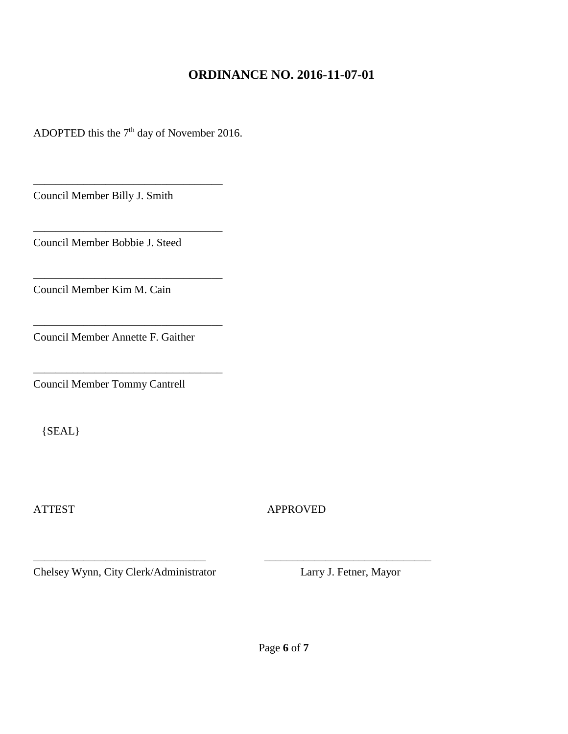ADOPTED this the  $7<sup>th</sup>$  day of November 2016.

\_\_\_\_\_\_\_\_\_\_\_\_\_\_\_\_\_\_\_\_\_\_\_\_\_\_\_\_\_\_\_\_\_\_

\_\_\_\_\_\_\_\_\_\_\_\_\_\_\_\_\_\_\_\_\_\_\_\_\_\_\_\_\_\_\_\_\_\_

\_\_\_\_\_\_\_\_\_\_\_\_\_\_\_\_\_\_\_\_\_\_\_\_\_\_\_\_\_\_\_\_\_\_

\_\_\_\_\_\_\_\_\_\_\_\_\_\_\_\_\_\_\_\_\_\_\_\_\_\_\_\_\_\_\_\_\_\_

\_\_\_\_\_\_\_\_\_\_\_\_\_\_\_\_\_\_\_\_\_\_\_\_\_\_\_\_\_\_\_\_\_\_

Council Member Billy J. Smith

Council Member Bobbie J. Steed

Council Member Kim M. Cain

Council Member Annette F. Gaither

Council Member Tommy Cantrell

{SEAL}

ATTEST APPROVED

Chelsey Wynn, City Clerk/Administrator Larry J. Fetner, Mayor

\_\_\_\_\_\_\_\_\_\_\_\_\_\_\_\_\_\_\_\_\_\_\_\_\_\_\_\_\_\_\_ \_\_\_\_\_\_\_\_\_\_\_\_\_\_\_\_\_\_\_\_\_\_\_\_\_\_\_\_\_\_